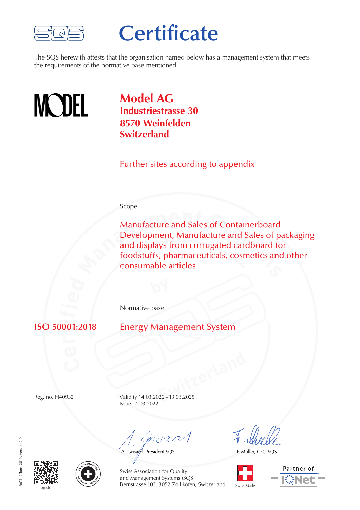

## **Certificate**

The SQS herewith attests that the organisation named below has a management system that meets the requirements of the normative base mentioned.



**Model AG Industriestrasse 30 8570 Weinfelden Switzerland**

Further sites according to appendix

## Scope

Manufacture and Sales of Containerboard<br>Development, Manufacture and Sales of pa<br>and displays from corrugated cardboard fo<br>foodstuffs, pharmaceuticals, cosmetics and<br>consumable articles Manufacture and Sales of Containerboard Development, Manufacture and Sales of packaging and displays from corrugated cardboard for foodstuffs, pharmaceuticals, cosmetics and other consumable articles

Normative base

 $\mathbf{v}$ **i**

**Energy Management System** 

**Switzerland** Reg. no. H40932 Validity 14.03.2022–13.03.2025 Issue 14.03.2022

msant

A. Grisard, President SQS

F. Müller, CEO SQS









Swiss Association for Quality and Management Systems (SQS) Bernstrasse 103, 3052 Zollikofen, Switzerland